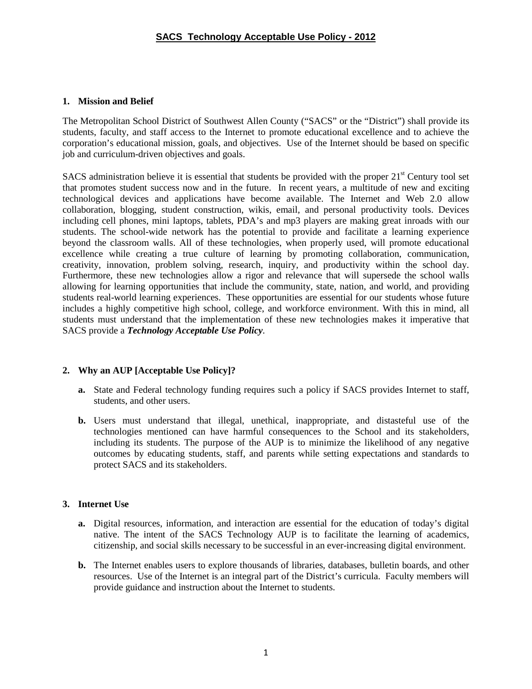## **1. Mission and Belief**

The Metropolitan School District of Southwest Allen County ("SACS" or the "District") shall provide its students, faculty, and staff access to the Internet to promote educational excellence and to achieve the corporation's educational mission, goals, and objectives.Use of the Internet should be based on specific job and curriculum-driven objectives and goals.

SACS administration believe it is essential that students be provided with the proper  $21<sup>st</sup>$  Century tool set that promotes student success now and in the future. In recent years, a multitude of new and exciting technological devices and applications have become available. The Internet and Web 2.0 allow collaboration, blogging, student construction, wikis, email, and personal productivity tools. Devices including cell phones, mini laptops, tablets, PDA's and mp3 players are making great inroads with our students. The school-wide network has the potential to provide and facilitate a learning experience beyond the classroom walls. All of these technologies, when properly used, will promote educational excellence while creating a true culture of learning by promoting collaboration, communication, creativity, innovation, problem solving, research, inquiry, and productivity within the school day. Furthermore, these new technologies allow a rigor and relevance that will supersede the school walls allowing for learning opportunities that include the community, state, nation, and world, and providing students real-world learning experiences. These opportunities are essential for our students whose future includes a highly competitive high school, college, and workforce environment. With this in mind, all students must understand that the implementation of these new technologies makes it imperative that SACS provide a *Technology Acceptable Use Policy*.

### **2. Why an AUP [Acceptable Use Policy]?**

- **a.** State and Federal technology funding requires such a policy if SACS provides Internet to staff, students, and other users.
- **b.** Users must understand that illegal, unethical, inappropriate, and distasteful use of the technologies mentioned can have harmful consequences to the School and its stakeholders, including its students. The purpose of the AUP is to minimize the likelihood of any negative outcomes by educating students, staff, and parents while setting expectations and standards to protect SACS and its stakeholders.

## **3. Internet Use**

- **a.** Digital resources, information, and interaction are essential for the education of today's digital native. The intent of the SACS Technology AUP is to facilitate the learning of academics, citizenship, and social skills necessary to be successful in an ever-increasing digital environment.
- **b.** The Internet enables users to explore thousands of libraries, databases, bulletin boards, and other resources. Use of the Internet is an integral part of the District's curricula. Faculty members will provide guidance and instruction about the Internet to students.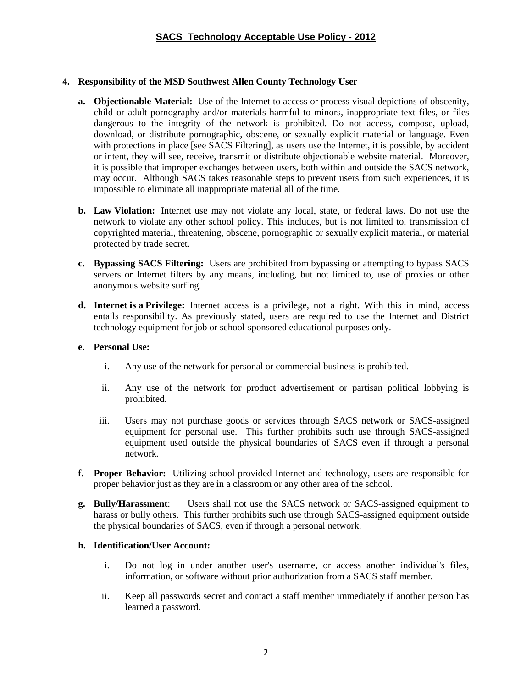## **4. Responsibility of the MSD Southwest Allen County Technology User**

- **a. Objectionable Material:** Use of the Internet to access or process visual depictions of obscenity, child or adult pornography and/or materials harmful to minors, inappropriate text files, or files dangerous to the integrity of the network is prohibited. Do not access, compose, upload, download, or distribute pornographic, obscene, or sexually explicit material or language. Even with protections in place [see SACS Filtering], as users use the Internet, it is possible, by accident or intent, they will see, receive, transmit or distribute objectionable website material. Moreover, it is possible that improper exchanges between users, both within and outside the SACS network, may occur. Although SACS takes reasonable steps to prevent users from such experiences, it is impossible to eliminate all inappropriate material all of the time.
- **b. Law Violation:** Internet use may not violate any local, state, or federal laws. Do not use the network to violate any other school policy. This includes, but is not limited to, transmission of copyrighted material, threatening, obscene, pornographic or sexually explicit material, or material protected by trade secret.
- **c. Bypassing SACS Filtering:** Users are prohibited from bypassing or attempting to bypass SACS servers or Internet filters by any means, including, but not limited to, use of proxies or other anonymous website surfing.
- **d. Internet is a Privilege:** Internet access is a privilege, not a right. With this in mind, access entails responsibility. As previously stated, users are required to use the Internet and District technology equipment for job or school-sponsored educational purposes only.

### **e. Personal Use:**

- i. Any use of the network for personal or commercial business is prohibited.
- ii. Any use of the network for product advertisement or partisan political lobbying is prohibited.
- iii. Users may not purchase goods or services through SACS network or SACS-assigned equipment for personal use. This further prohibits such use through SACS-assigned equipment used outside the physical boundaries of SACS even if through a personal network.
- **f. Proper Behavior:** Utilizing school-provided Internet and technology, users are responsible for proper behavior just as they are in a classroom or any other area of the school.
- **g. Bully/Harassment**: Users shall not use the SACS network or SACS-assigned equipment to harass or bully others. This further prohibits such use through SACS-assigned equipment outside the physical boundaries of SACS, even if through a personal network.

### **h. Identification/User Account:**

- i. Do not log in under another user's username, or access another individual's files, information, or software without prior authorization from a SACS staff member.
- ii. Keep all passwords secret and contact a staff member immediately if another person has learned a password.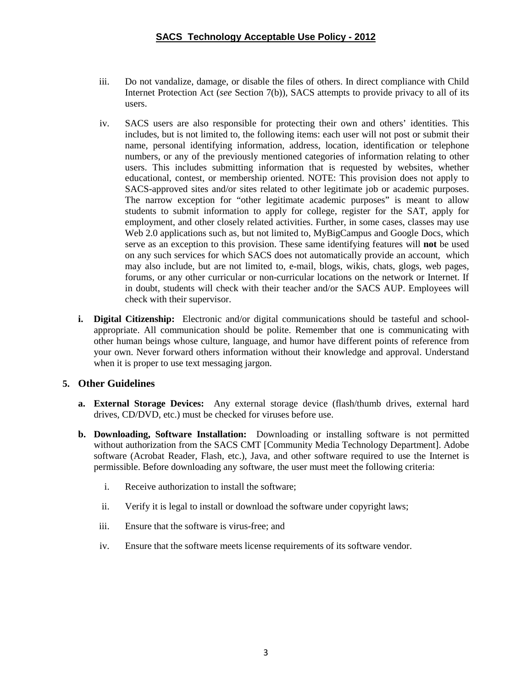- iii. Do not vandalize, damage, or disable the files of others. In direct compliance with Child Internet Protection Act (*see* Section 7(b))*,* SACS attempts to provide privacy to all of its users.
- iv. SACS users are also responsible for protecting their own and others' identities. This includes, but is not limited to, the following items: each user will not post or submit their name, personal identifying information, address, location, identification or telephone numbers, or any of the previously mentioned categories of information relating to other users. This includes submitting information that is requested by websites, whether educational, contest, or membership oriented. NOTE: This provision does not apply to SACS-approved sites and/or sites related to other legitimate job or academic purposes. The narrow exception for "other legitimate academic purposes" is meant to allow students to submit information to apply for college, register for the SAT, apply for employment, and other closely related activities. Further, in some cases, classes may use Web 2.0 applications such as, but not limited to, MyBigCampus and Google Docs, which serve as an exception to this provision. These same identifying features will **not** be used on any such services for which SACS does not automatically provide an account, which may also include, but are not limited to, e-mail, blogs, wikis, chats, glogs, web pages, forums, or any other curricular or non-curricular locations on the network or Internet. If in doubt, students will check with their teacher and/or the SACS AUP. Employees will check with their supervisor.
- **i. Digital Citizenship:** Electronic and/or digital communications should be tasteful and schoolappropriate. All communication should be polite. Remember that one is communicating with other human beings whose culture, language, and humor have different points of reference from your own. Never forward others information without their knowledge and approval. Understand when it is proper to use text messaging jargon.

## **5. Other Guidelines**

- **a. External Storage Devices:** Any external storage device (flash/thumb drives, external hard drives, CD/DVD, etc.) must be checked for viruses before use.
- **b. Downloading, Software Installation:** Downloading or installing software is not permitted without authorization from the SACS CMT [Community Media Technology Department]. Adobe software (Acrobat Reader, Flash, etc.), Java, and other software required to use the Internet is permissible. Before downloading any software, the user must meet the following criteria:
	- i. Receive authorization to install the software;
	- ii. Verify it is legal to install or download the software under copyright laws;
	- iii. Ensure that the software is virus-free; and
	- iv. Ensure that the software meets license requirements of its software vendor.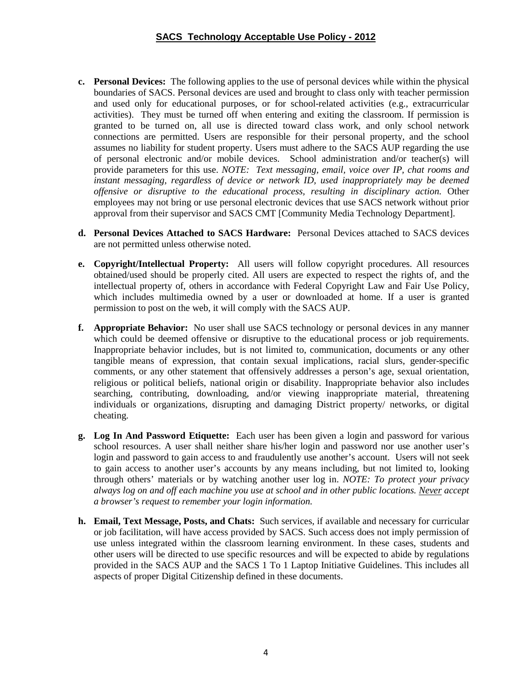- **c. Personal Devices:** The following applies to the use of personal devices while within the physical boundaries of SACS. Personal devices are used and brought to class only with teacher permission and used only for educational purposes, or for school-related activities (e.g., extracurricular activities). They must be turned off when entering and exiting the classroom. If permission is granted to be turned on, all use is directed toward class work, and only school network connections are permitted. Users are responsible for their personal property, and the school assumes no liability for student property. Users must adhere to the SACS AUP regarding the use of personal electronic and/or mobile devices. School administration and/or teacher(s) will provide parameters for this use. *NOTE: Text messaging, email, voice over IP, chat rooms and instant messaging, regardless of device or network ID, used inappropriately may be deemed offensive or disruptive to the educational process, resulting in disciplinary action.* Other employees may not bring or use personal electronic devices that use SACS network without prior approval from their supervisor and SACS CMT [Community Media Technology Department].
- **d. Personal Devices Attached to SACS Hardware:** Personal Devices attached to SACS devices are not permitted unless otherwise noted.
- **e. Copyright/Intellectual Property:** All users will follow copyright procedures. All resources obtained/used should be properly cited. All users are expected to respect the rights of, and the intellectual property of, others in accordance with Federal Copyright Law and Fair Use Policy, which includes multimedia owned by a user or downloaded at home. If a user is granted permission to post on the web, it will comply with the SACS AUP.
- **f. Appropriate Behavior:** No user shall use SACS technology or personal devices in any manner which could be deemed offensive or disruptive to the educational process or job requirements. Inappropriate behavior includes, but is not limited to, communication, documents or any other tangible means of expression, that contain sexual implications, racial slurs, gender-specific comments, or any other statement that offensively addresses a person's age, sexual orientation, religious or political beliefs, national origin or disability. Inappropriate behavior also includes searching, contributing, downloading, and/or viewing inappropriate material, threatening individuals or organizations, disrupting and damaging District property/ networks, or digital cheating.
- **g. Log In And Password Etiquette:** Each user has been given a login and password for various school resources. A user shall neither share his/her login and password nor use another user's login and password to gain access to and fraudulently use another's account. Users will not seek to gain access to another user's accounts by any means including, but not limited to, looking through others' materials or by watching another user log in. *NOTE: To protect your privacy always log on and off each machine you use at school and in other public locations. Never accept a browser's request to remember your login information.*
- **h. Email, Text Message, Posts, and Chats:** Such services, if available and necessary for curricular or job facilitation, will have access provided by SACS. Such access does not imply permission of use unless integrated within the classroom learning environment. In these cases, students and other users will be directed to use specific resources and will be expected to abide by regulations provided in the SACS AUP and the SACS 1 To 1 Laptop Initiative Guidelines. This includes all aspects of proper Digital Citizenship defined in these documents.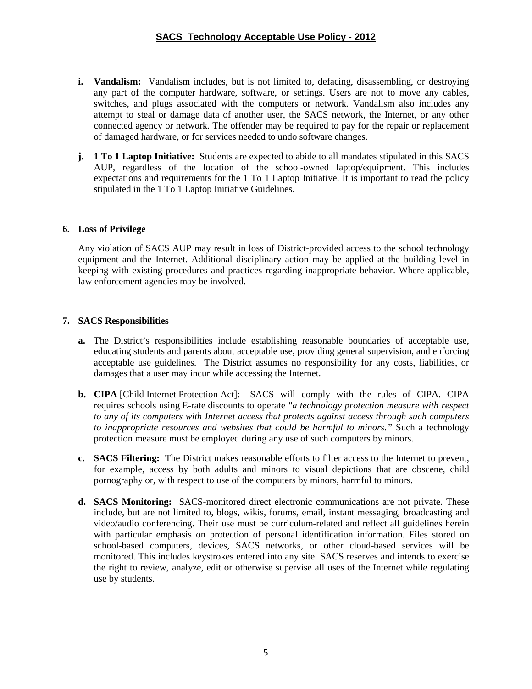- **i. Vandalism:** Vandalism includes, but is not limited to, defacing, disassembling, or destroying any part of the computer hardware, software, or settings. Users are not to move any cables, switches, and plugs associated with the computers or network. Vandalism also includes any attempt to steal or damage data of another user, the SACS network, the Internet, or any other connected agency or network. The offender may be required to pay for the repair or replacement of damaged hardware, or for services needed to undo software changes.
- **j. 1 To 1 Laptop Initiative:** Students are expected to abide to all mandates stipulated in this SACS AUP, regardless of the location of the school-owned laptop/equipment. This includes expectations and requirements for the 1 To 1 Laptop Initiative. It is important to read the policy stipulated in the 1 To 1 Laptop Initiative Guidelines.

## **6. Loss of Privilege**

Any violation of SACS AUP may result in loss of District-provided access to the school technology equipment and the Internet. Additional disciplinary action may be applied at the building level in keeping with existing procedures and practices regarding inappropriate behavior. Where applicable, law enforcement agencies may be involved.

## **7. SACS Responsibilities**

- **a.** The District's responsibilities include establishing reasonable boundaries of acceptable use, educating students and parents about acceptable use, providing general supervision, and enforcing acceptable use guidelines. The District assumes no responsibility for any costs, liabilities, or damages that a user may incur while accessing the Internet.
- **b. CIPA** [Child Internet Protection Act]: SACS will comply with the rules of CIPA. CIPA requires schools using E-rate discounts to operate *"a technology protection measure with respect to any of its computers with Internet access that protects against access through such computers to inappropriate resources and websites that could be harmful to minors."* Such a technology protection measure must be employed during any use of such computers by minors.
- **c. SACS Filtering:** The District makes reasonable efforts to filter access to the Internet to prevent, for example, access by both adults and minors to visual depictions that are obscene, child pornography or, with respect to use of the computers by minors, harmful to minors.
- **d. SACS Monitoring:** SACS-monitored direct electronic communications are not private. These include, but are not limited to, blogs, wikis, forums, email, instant messaging, broadcasting and video/audio conferencing. Their use must be curriculum-related and reflect all guidelines herein with particular emphasis on protection of personal identification information. Files stored on school-based computers, devices, SACS networks, or other cloud-based services will be monitored. This includes keystrokes entered into any site. SACS reserves and intends to exercise the right to review, analyze, edit or otherwise supervise all uses of the Internet while regulating use by students.